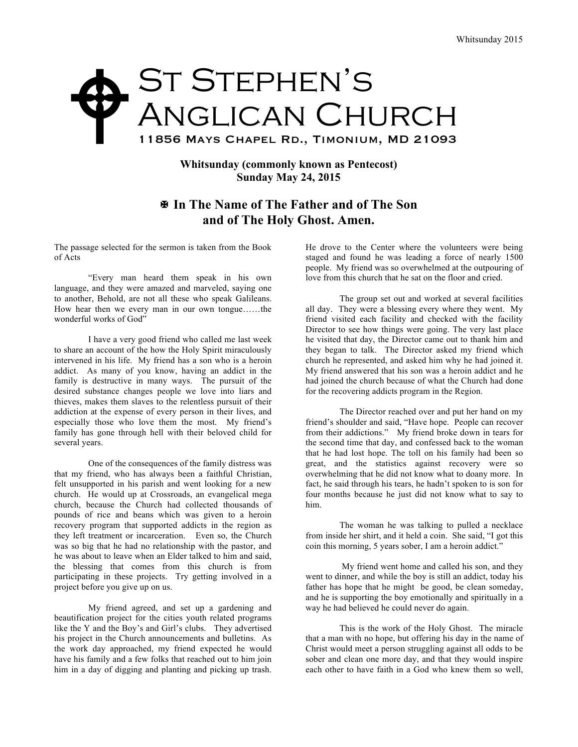## ST STEPHEN'S ANGLICAN CHURCH 11856 Mays Chapel Rd., Timonium, MD 21093  $\blacklozenge$

## **Whitsunday (commonly known as Pentecost) Sunday May 24, 2015**

## X **In The Name of The Father and of The Son and of The Holy Ghost. Amen.**

The passage selected for the sermon is taken from the Book of Acts

"Every man heard them speak in his own language, and they were amazed and marveled, saying one to another, Behold, are not all these who speak Galileans. How hear then we every man in our own tongue……the wonderful works of God"

I have a very good friend who called me last week to share an account of the how the Holy Spirit miraculously intervened in his life. My friend has a son who is a heroin addict. As many of you know, having an addict in the family is destructive in many ways. The pursuit of the desired substance changes people we love into liars and thieves, makes them slaves to the relentless pursuit of their addiction at the expense of every person in their lives, and especially those who love them the most. My friend's family has gone through hell with their beloved child for several years.

One of the consequences of the family distress was that my friend, who has always been a faithful Christian, felt unsupported in his parish and went looking for a new church. He would up at Crossroads, an evangelical mega church, because the Church had collected thousands of pounds of rice and beans which was given to a heroin recovery program that supported addicts in the region as they left treatment or incarceration. Even so, the Church was so big that he had no relationship with the pastor, and he was about to leave when an Elder talked to him and said, the blessing that comes from this church is from participating in these projects. Try getting involved in a project before you give up on us.

My friend agreed, and set up a gardening and beautification project for the cities youth related programs like the Y and the Boy's and Girl's clubs. They advertised his project in the Church announcements and bulletins. As the work day approached, my friend expected he would have his family and a few folks that reached out to him join him in a day of digging and planting and picking up trash.

He drove to the Center where the volunteers were being staged and found he was leading a force of nearly 1500 people. My friend was so overwhelmed at the outpouring of love from this church that he sat on the floor and cried.

The group set out and worked at several facilities all day. They were a blessing every where they went. My friend visited each facility and checked with the facility Director to see how things were going. The very last place he visited that day, the Director came out to thank him and they began to talk. The Director asked my friend which church he represented, and asked him why he had joined it. My friend answered that his son was a heroin addict and he had joined the church because of what the Church had done for the recovering addicts program in the Region.

The Director reached over and put her hand on my friend's shoulder and said, "Have hope. People can recover from their addictions." My friend broke down in tears for the second time that day, and confessed back to the woman that he had lost hope. The toll on his family had been so great, and the statistics against recovery were so overwhelming that he did not know what to doany more. In fact, he said through his tears, he hadn't spoken to is son for four months because he just did not know what to say to him.

The woman he was talking to pulled a necklace from inside her shirt, and it held a coin. She said, "I got this coin this morning, 5 years sober, I am a heroin addict."

My friend went home and called his son, and they went to dinner, and while the boy is still an addict, today his father has hope that he might be good, be clean someday, and he is supporting the boy emotionally and spiritually in a way he had believed he could never do again.

This is the work of the Holy Ghost. The miracle that a man with no hope, but offering his day in the name of Christ would meet a person struggling against all odds to be sober and clean one more day, and that they would inspire each other to have faith in a God who knew them so well,